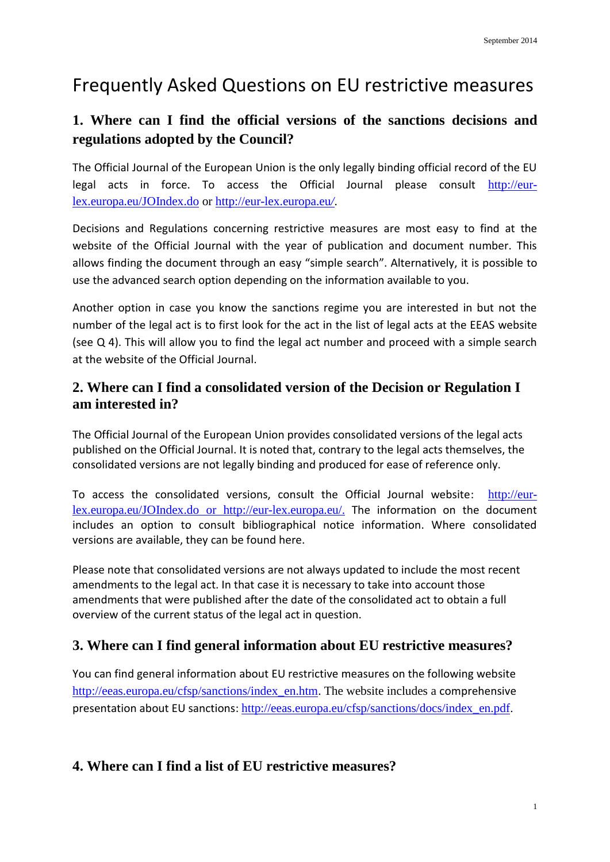# Frequently Asked Questions on EU restrictive measures

# **1. Where can I find the official versions of the sanctions decisions and regulations adopted by the Council?**

The Official Journal of the European Union is the only legally binding official record of the EU legal acts in force. To access the Official Journal please consult [http://eur](http://eur-lex.europa.eu/JOIndex.do)[lex.europa.eu/JOIndex.do](http://eur-lex.europa.eu/JOIndex.do) or [http://eur-lex.europa.eu](http://eur-lex.europa.eu/)*/*.

Decisions and Regulations concerning restrictive measures are most easy to find at the website of the Official Journal with the year of publication and document number. This allows finding the document through an easy "simple search". Alternatively, it is possible to use the advanced search option depending on the information available to you.

Another option in case you know the sanctions regime you are interested in but not the number of the legal act is to first look for the act in the list of legal acts at the EEAS website (see Q 4). This will allow you to find the legal act number and proceed with a simple search at the website of the Official Journal.

#### **2. Where can I find a consolidated version of the Decision or Regulation I am interested in?**

The Official Journal of the European Union provides consolidated versions of the legal acts published on the Official Journal. It is noted that, contrary to the legal acts themselves, the consolidated versions are not legally binding and produced for ease of reference only.

To access the consolidated versions, consult the Official Journal website: [http://eur](http://eur-lex.europa.eu/JOIndex.do)[lex.europa.eu/JOIndex.do](http://eur-lex.europa.eu/JOIndex.do) or [http://eur-lex.europa.eu/.](http://eur-lex.europa.eu/) The information on the document includes an option to consult bibliographical notice information. Where consolidated versions are available, they can be found here.

Please note that consolidated versions are not always updated to include the most recent amendments to the legal act. In that case it is necessary to take into account those amendments that were published after the date of the consolidated act to obtain a full overview of the current status of the legal act in question.

# **3. Where can I find general information about EU restrictive measures?**

You can find general information about EU restrictive measures on the following website [http://eeas.europa.eu/cfsp/sanctions/index\\_en.htm.](http://eeas.europa.eu/cfsp/sanctions/index_en.htm) The website includes a [comprehensive](http://eeas.europa.eu/cfsp/sanctions/docs/index_en.pdf) presentation about EU sanctions: [http://eeas.europa.eu/cfsp/sanctions/docs/index\\_en.pdf.](http://eeas.europa.eu/cfsp/sanctions/docs/index_en.pdf)

# **4. Where can I find a list of EU restrictive measures?**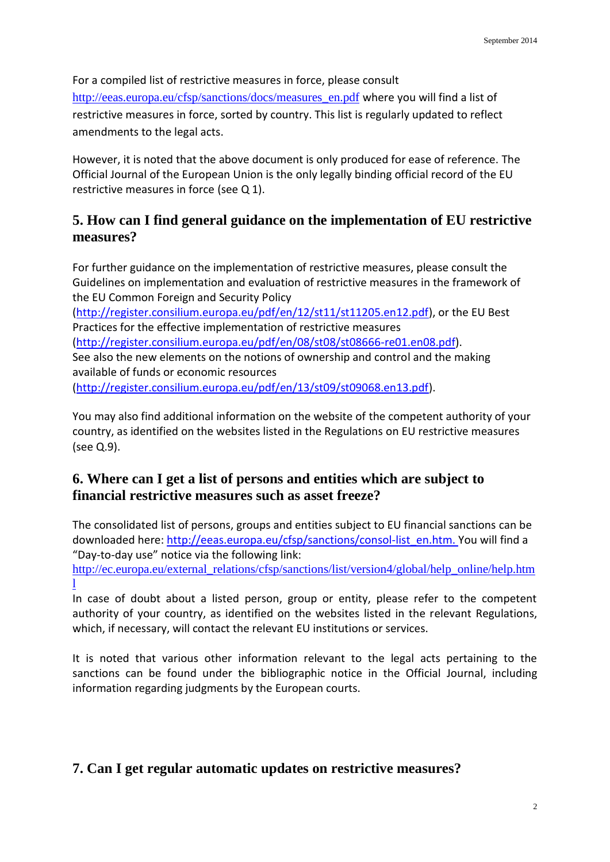For a compiled list of restrictive measures in force, please consult [http://eeas.europa.eu/cfsp/sanctions/docs/measures\\_en.pdf](http://eeas.europa.eu/cfsp/sanctions/docs/measures_en.pdf) where you will find a list of restrictive measures in force, sorted by country. This list is regularly updated to reflect amendments to the legal acts.

However, it is noted that the above document is only produced for ease of reference. The Official Journal of the European Union is the only legally binding official record of the EU restrictive measures in force (see Q 1).

## **5. How can I find general guidance on the implementation of EU restrictive measures?**

For further guidance on the implementation of restrictive measures, please consult the Guidelines on implementation and evaluation of restrictive measures in the framework of the EU Common Foreign and Security Policy [\(http://register.consilium.europa.eu/pdf/en/12/st11/st11205.en12.pdf\)](http://register.consilium.europa.eu/pdf/en/12/st11/st11205.en12.pdf), or the EU Best Practices for the effective implementation of restrictive measures [\(http://register.consilium.europa.eu/pdf/en/08/st08/st08666-re01.en08.pdf\)](http://register.consilium.europa.eu/pdf/en/08/st08/st08666-re01.en08.pdf).

See also the new elements on the notions of ownership and control and the making available of funds or economic resources

[\(http://register.consilium.europa.eu/pdf/en/13/st09/st09068.en13.pdf\)](http://register.consilium.europa.eu/pdf/en/13/st09/st09068.en13.pdf).

You may also find additional information on the website of the competent authority of your country, as identified on the websites listed in the Regulations on EU restrictive measures (see Q.9).

# **6. Where can I get a list of persons and entities which are subject to financial restrictive measures such as asset freeze?**

The consolidated list of persons, groups and entities subject to EU financial sanctions can be downloaded here: [http://eeas.europa.eu/cfsp/sanctions/consol-list\\_en.htm.](http://eeas.europa.eu/cfsp/sanctions/consol-list_en.htm) You will find a "Day-to-day use" notice via the following link:

[http://ec.europa.eu/external\\_relations/cfsp/sanctions/list/version4/global/help\\_online/help.htm](http://ec.europa.eu/external_relations/cfsp/sanctions/list/version4/global/help_online/help.html) [l](http://ec.europa.eu/external_relations/cfsp/sanctions/list/version4/global/help_online/help.html)

In case of doubt about a listed person, group or entity, please refer to the competent authority of your country, as identified on the websites listed in the relevant Regulations, which, if necessary, will contact the relevant EU institutions or services.

It is noted that various other information relevant to the legal acts pertaining to the sanctions can be found under the bibliographic notice in the Official Journal, including information regarding judgments by the European courts.

# **7. Can I get regular automatic updates on restrictive measures?**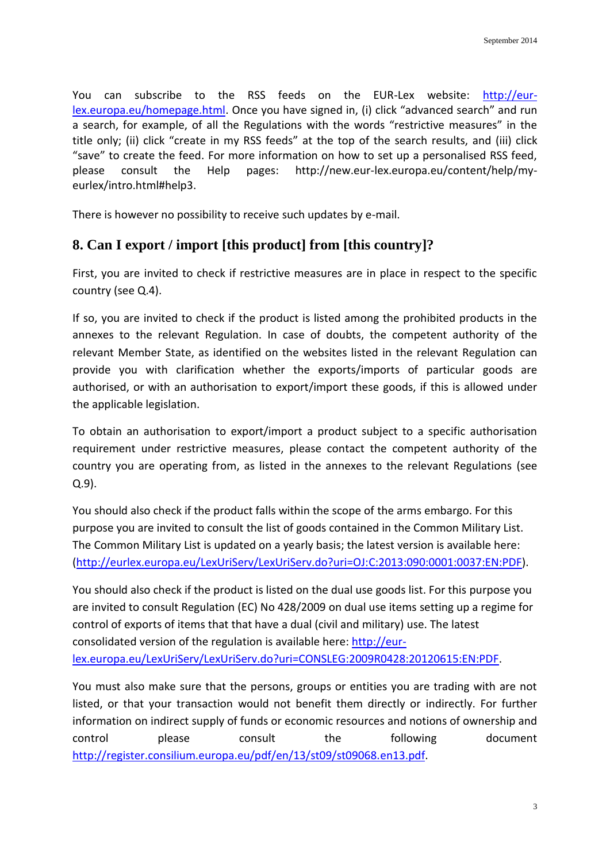You can subscribe to the RSS feeds on the EUR-Lex website: [http://eur](http://eur-lex.europa.eu/homepage.html)[lex.europa.eu/homepage.html.](http://eur-lex.europa.eu/homepage.html) Once you have signed in, (i) click "advanced search" and run a search, for example, of all the Regulations with the words "restrictive measures" in the title only; (ii) click "create in my RSS feeds" at the top of the search results, and (iii) click "save" to create the feed. For more information on how to set up a personalised RSS feed, please consult the Help pages: [http://new.eur-lex.europa.eu/content/help/my](http://new.eur-lex.europa.eu/content/help/my-eurlex/intro.html#help3)[eurlex/intro.html#help3.](http://new.eur-lex.europa.eu/content/help/my-eurlex/intro.html#help3)

There is however no possibility to receive such updates by e-mail.

## **8. Can I export / import [this product] from [this country]?**

First, you are invited to check if restrictive measures are in place in respect to the specific country (see Q.4).

If so, you are invited to check if the product is listed among the prohibited products in the annexes to the relevant Regulation. In case of doubts, the competent authority of the relevant Member State, as identified on the websites listed in the relevant Regulation can provide you with clarification whether the exports/imports of particular goods are authorised, or with an authorisation to export/import these goods, if this is allowed under the applicable legislation.

To obtain an authorisation to export/import a product subject to a specific authorisation requirement under restrictive measures, please contact the competent authority of the country you are operating from, as listed in the annexes to the relevant Regulations (see Q.9).

You should also check if the product falls within the scope of the arms embargo. For this purpose you are invited to consult the list of goods contained in the Common Military List. The Common Military List is updated on a yearly basis; the latest version is available here: [\(http://eurlex.europa.eu/LexUriServ/LexUriServ.do?uri=OJ:C:2013:090:0001:0037:EN:PDF\)](http://eurlex.europa.eu/LexUriServ/LexUriServ.do?uri=OJ:C:2013:090:0001:0037:EN:PDF).

You should also check if the product is listed on the dual use goods list. For this purpose you are invited to consult Regulation (EC) No 428/2009 on dual use items setting up a regime for control of exports of items that that have a dual (civil and military) use. The latest consolidated version of the regulation is available here: [http://eur-](http://eur-lex.europa.eu/LexUriServ/LexUriServ.do?uri=CONSLEG:2009R0428:20120615:EN:PDF)

[lex.europa.eu/LexUriServ/LexUriServ.do?uri=CONSLEG:2009R0428:20120615:EN:PDF.](http://eur-lex.europa.eu/LexUriServ/LexUriServ.do?uri=CONSLEG:2009R0428:20120615:EN:PDF)

You must also make sure that the persons, groups or entities you are trading with are not listed, or that your transaction would not benefit them directly or indirectly. For further information on indirect supply of funds or economic resources and notions of ownership and control please consult the following document [http://register.consilium.europa.eu/pdf/en/13/st09/st09068.en13.pdf.](http://register.consilium.europa.eu/pdf/en/13/st09/st09068.en13.pdf)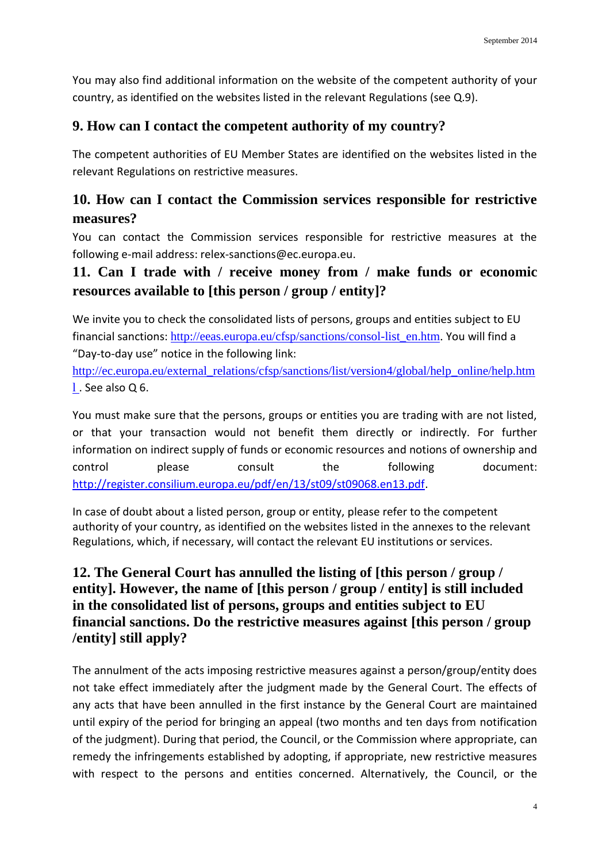You may also find additional information on the website of the competent authority of your country, as identified on the websites listed in the relevant Regulations (see Q.9).

## **9. How can I contact the competent authority of my country?**

The competent authorities of EU Member States are identified on the websites listed in the relevant Regulations on restrictive measures.

# **10. How can I contact the Commission services responsible for restrictive measures?**

You can contact the Commission services responsible for restrictive measures at the following e-mail address: [relex-sanctions@ec.europa.eu.](mailto:relex-sanctions@ec.europa.eu)

## **11. Can I trade with / receive money from / make funds or economic resources available to [this person / group / entity]?**

We invite you to check the consolidated lists of persons, groups and entities subject to EU financial sanctions: [http://eeas.europa.eu/cfsp/sanctions/consol-list\\_en.htm.](http://eeas.europa.eu/cfsp/sanctions/consol-list_en.htm) You will find a "Day-to-day use" notice in the following link:

[http://ec.europa.eu/external\\_relations/cfsp/sanctions/list/version4/global/help\\_online/help.htm](http://ec.europa.eu/external_relations/cfsp/sanctions/list/version4/global/help_online/help.html) [l](http://ec.europa.eu/external_relations/cfsp/sanctions/list/version4/global/help_online/help.html) . See also Q 6.

You must make sure that the persons, groups or entities you are trading with are not listed, or that your transaction would not benefit them directly or indirectly. For further information on indirect supply of funds or economic resources and notions of ownership and control please consult the following document: [http://register.consilium.europa.eu/pdf/en/13/st09/st09068.en13.pdf.](http://register.consilium.europa.eu/pdf/en/13/st09/st09068.en13.pdf)

In case of doubt about a listed person, group or entity, please refer to the competent authority of your country, as identified on the websites listed in the annexes to the relevant Regulations, which, if necessary, will contact the relevant EU institutions or services.

# **12. The General Court has annulled the listing of [this person / group / entity]. However, the name of [this person / group / entity] is still included in the consolidated list of persons, groups and entities subject to EU financial sanctions. Do the restrictive measures against [this person / group /entity] still apply?**

The annulment of the acts imposing restrictive measures against a person/group/entity does not take effect immediately after the judgment made by the General Court. The effects of any acts that have been annulled in the first instance by the General Court are maintained until expiry of the period for bringing an appeal (two months and ten days from notification of the judgment). During that period, the Council, or the Commission where appropriate, can remedy the infringements established by adopting, if appropriate, new restrictive measures with respect to the persons and entities concerned. Alternatively, the Council, or the